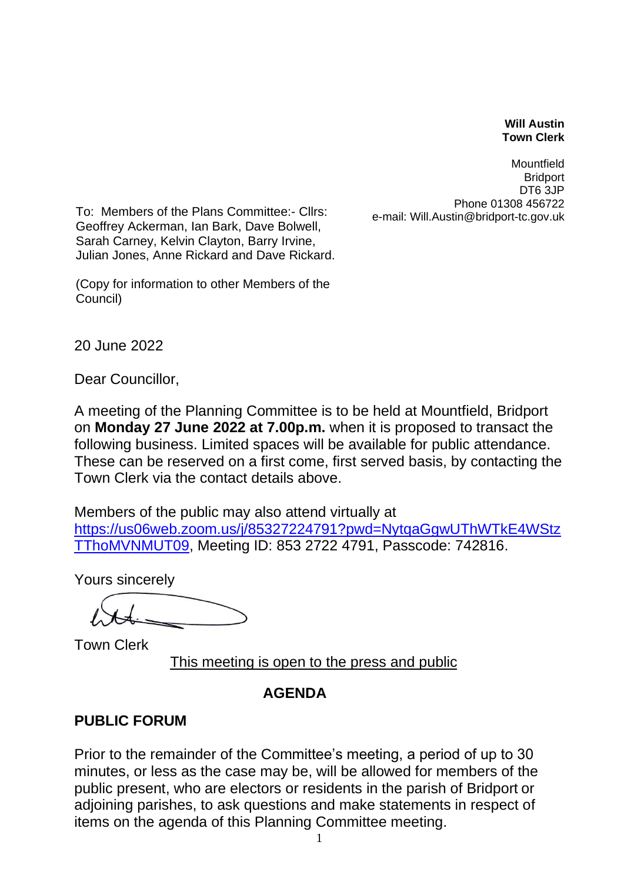## **Will Austin Town Clerk**

Mountfield **Bridport** DT6 3JP Phone 01308 456722

To: Members of the Plans Committee:- Cllrs:<br>e-mail: Will.Austin@bridport-tc.gov.uk Geoffrey Ackerman, Ian Bark, Dave Bolwell, Sarah Carney, Kelvin Clayton, Barry Irvine, Julian Jones, Anne Rickard and Dave Rickard.

(Copy for information to other Members of the Council)

20 June 2022

Dear Councillor,

A meeting of the Planning Committee is to be held at Mountfield, Bridport on **Monday 27 June 2022 at 7.00p.m.** when it is proposed to transact the following business. Limited spaces will be available for public attendance. These can be reserved on a first come, first served basis, by contacting the Town Clerk via the contact details above.

Members of the public may also attend virtually at [https://us06web.zoom.us/j/85327224791?pwd=NytqaGgwUThWTkE4WStz](https://us06web.zoom.us/j/85327224791?pwd=NytqaGgwUThWTkE4WStzTThoMVNMUT09) [TThoMVNMUT09,](https://us06web.zoom.us/j/85327224791?pwd=NytqaGgwUThWTkE4WStzTThoMVNMUT09) Meeting ID: 853 2722 4791, Passcode: 742816.

Yours sincerely

Town Clerk

This meeting is open to the press and public

## **AGENDA**

## **PUBLIC FORUM**

Prior to the remainder of the Committee's meeting, a period of up to 30 minutes, or less as the case may be, will be allowed for members of the public present, who are electors or residents in the parish of Bridport or adjoining parishes, to ask questions and make statements in respect of items on the agenda of this Planning Committee meeting.